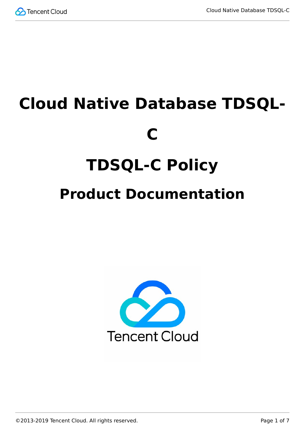

# **Cloud Native Database TDSQL-C TDSQL-C Policy Product Documentation**



©2013-2019 Tencent Cloud. All rights reserved. Page 1 of 7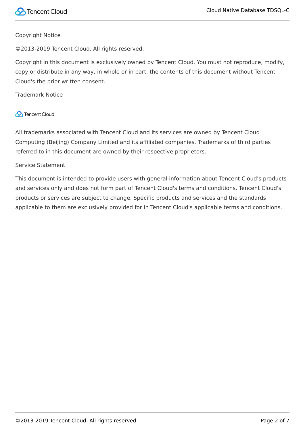

#### Copyright Notice

©2013-2019 Tencent Cloud. All rights reserved.

Copyright in this document is exclusively owned by Tencent Cloud. You must not reproduce, modify, copy or distribute in any way, in whole or in part, the contents of this document without Tencent Cloud's the prior written consent.

Trademark Notice

#### **C** Tencent Cloud

All trademarks associated with Tencent Cloud and its services are owned by Tencent Cloud Computing (Beijing) Company Limited and its affiliated companies. Trademarks of third parties referred to in this document are owned by their respective proprietors.

#### Service Statement

This document is intended to provide users with general information about Tencent Cloud's products and services only and does not form part of Tencent Cloud's terms and conditions. Tencent Cloud's products or services are subject to change. Specific products and services and the standards applicable to them are exclusively provided for in Tencent Cloud's applicable terms and conditions.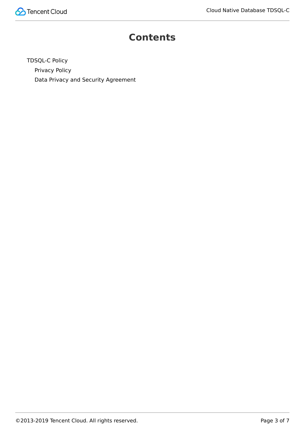

#### **Contents**

[TDSQL-C Policy](#page-3-0) [Privacy Policy](#page-3-1) [Data Privacy and Security Agreement](#page-5-0)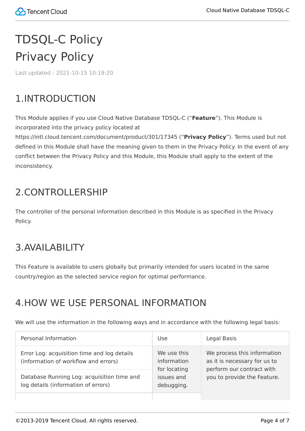# <span id="page-3-1"></span><span id="page-3-0"></span>TDSQL-C Policy Privacy Policy

Last updated:2021-10-15 10:19:20

## 1.INTRODUCTION

This Module applies if you use Cloud Native Database TDSQL-C ("**Feature**"). This Module is incorporated into the privacy policy located at

https://intl.cloud.tencent.com/document/product/301/17345 ("**Privacy Policy**"). Terms used but not defined in this Module shall have the meaning given to them in the Privacy Policy. In the event of any conflict between the Privacy Policy and this Module, this Module shall apply to the extent of the inconsistency.

#### 2. CONTROLLERSHIP

The controller of the personal information described in this Module is as specified in the Privacy Policy.

#### 3.AVAILABILITY

This Feature is available to users globally but primarily intended for users located in the same country/region as the selected service region for optimal performance.

### 4.HOW WE USE PERSONAL INFORMATION

We will use the information in the following ways and in accordance with the following legal basis:

| Personal Information                                                                | Use                                                                    | Legal Basis                                                                                                             |
|-------------------------------------------------------------------------------------|------------------------------------------------------------------------|-------------------------------------------------------------------------------------------------------------------------|
| Error Log: acquisition time and log details<br>(information of workflow and errors) | We use this<br>information<br>for locating<br>issues and<br>debugging. | We process this information<br>as it is necessary for us to<br>perform our contract with<br>you to provide the Feature. |
| Database Running Log: acquisition time and<br>log details (information of errors)   |                                                                        |                                                                                                                         |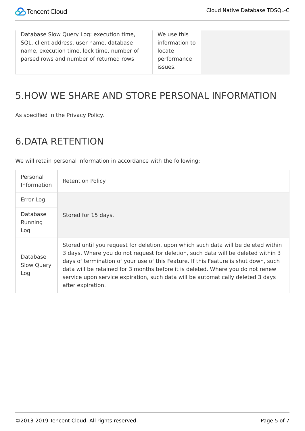| Database Slow Query Log: execution time,   | We use this    |
|--------------------------------------------|----------------|
| SQL, client address, user name, database   | information to |
| name, execution time, lock time, number of | locate         |
| parsed rows and number of returned rows    | performance    |
|                                            | ISSUES.        |

#### 5.HOW WE SHARE AND STORE PERSONAL INFORMATION

As specified in the Privacy Policy.

#### 6.DATA RETENTION

We will retain personal information in accordance with the following:

| Personal<br>Information       | <b>Retention Policy</b>                                                                                                                                                                                                                                                                                                                                                                                                                                   |
|-------------------------------|-----------------------------------------------------------------------------------------------------------------------------------------------------------------------------------------------------------------------------------------------------------------------------------------------------------------------------------------------------------------------------------------------------------------------------------------------------------|
| Error Log                     |                                                                                                                                                                                                                                                                                                                                                                                                                                                           |
| Database<br>Running<br>Log    | Stored for 15 days.                                                                                                                                                                                                                                                                                                                                                                                                                                       |
| Database<br>Slow Query<br>Log | Stored until you request for deletion, upon which such data will be deleted within<br>3 days. Where you do not request for deletion, such data will be deleted within 3<br>days of termination of your use of this Feature. If this Feature is shut down, such<br>data will be retained for 3 months before it is deleted. Where you do not renew<br>service upon service expiration, such data will be automatically deleted 3 days<br>after expiration. |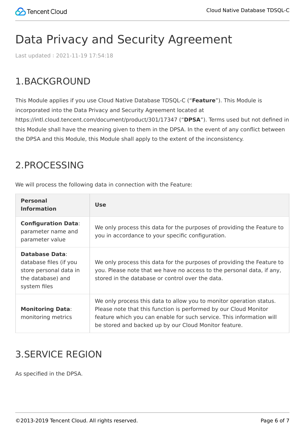## <span id="page-5-0"></span>Data Privacy and Security Agreement

Last updated:2021-11-19 17:54:18

### 1.BACKGROUND

This Module applies if you use Cloud Native Database TDSQL-C ("**Feature**"). This Module is incorporated into the Data Privacy and Security Agreement located at https://intl.cloud.tencent.com/document/product/301/17347 ("**DPSA**"). Terms used but not defined in this Module shall have the meaning given to them in the DPSA. In the event of any conflict between the DPSA and this Module, this Module shall apply to the extent of the inconsistency.

#### 2.PROCESSING

We will process the following data in connection with the Feature:

| <b>Personal</b><br><b>Information</b>                                                                          | <b>Use</b>                                                                                                                                                                                                                                                               |
|----------------------------------------------------------------------------------------------------------------|--------------------------------------------------------------------------------------------------------------------------------------------------------------------------------------------------------------------------------------------------------------------------|
| <b>Configuration Data:</b><br>parameter name and<br>parameter value                                            | We only process this data for the purposes of providing the Feature to<br>you in accordance to your specific configuration.                                                                                                                                              |
| <b>Database Data:</b><br>database files (if you<br>store personal data in<br>the database) and<br>system files | We only process this data for the purposes of providing the Feature to<br>you. Please note that we have no access to the personal data, if any,<br>stored in the database or control over the data.                                                                      |
| <b>Monitoring Data:</b><br>monitoring metrics                                                                  | We only process this data to allow you to monitor operation status.<br>Please note that this function is performed by our Cloud Monitor<br>feature which you can enable for such service. This information will<br>be stored and backed up by our Cloud Monitor feature. |

#### 3.SERVICE REGION

As specified in the DPSA.